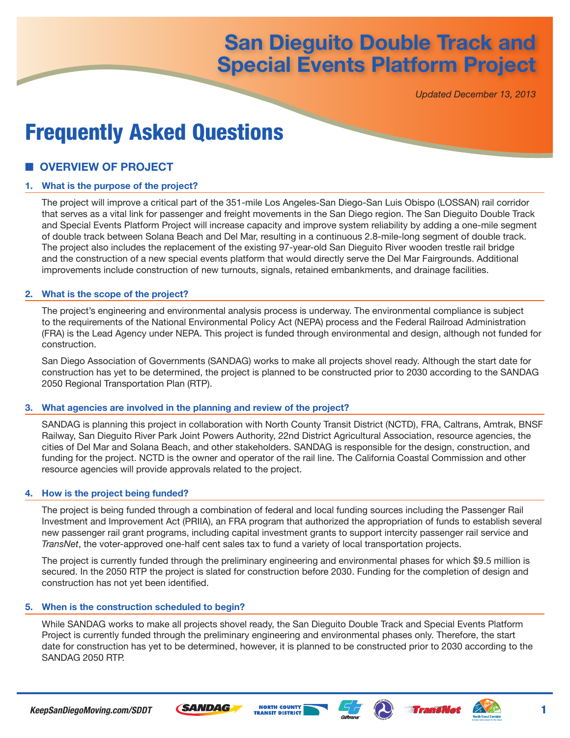## **San Dieguito Double Track and Special Events Platform Project** Frequently Asked Questions **San Dieguito Double Track and Special Events Platform Project**

*Updated December 13, 2013*

# Frequently Asked Questions

## **OVERVIEW OF PROJECT**

#### **1. What is the purpose of the project?**

The project will improve a critical part of the 351-mile Los Angeles-San Diego-San Luis Obispo (LOSSAN) rail corridor that serves as a vital link for passenger and freight movements in the San Diego region. The San Dieguito Double Track and Special Events Platform Project will increase capacity and improve system reliability by adding a one-mile segment of double track between Solana Beach and Del Mar, resulting in a continuous 2.8-mile-long segment of double track. The project also includes the replacement of the existing 97-year-old San Dieguito River wooden trestle rail bridge and the construction of a new special events platform that would directly serve the Del Mar Fairgrounds. Additional improvements include construction of new turnouts, signals, retained embankments, and drainage facilities.

#### **2. What is the scope of the project?**

The project's engineering and environmental analysis process is underway. The environmental compliance is subject to the requirements of the National Environmental Policy Act (NEPA) process and the Federal Railroad Administration (FRA) is the Lead Agency under NEPA. This project is funded through environmental and design, although not funded for construction.

San Diego Association of Governments (SANDAG) works to make all projects shovel ready. Although the start date for construction has yet to be determined, the project is planned to be constructed prior to 2030 according to the SANDAG 2050 Regional Transportation Plan (RTP).

#### **3. What agencies are involved in the planning and review of the project?**

SANDAG is planning this project in collaboration with North County Transit District (NCTD), FRA, Caltrans, Amtrak, BNSF Railway, San Dieguito River Park Joint Powers Authority, 22nd District Agricultural Association, resource agencies, the cities of Del Mar and Solana Beach, and other stakeholders. SANDAG is responsible for the design, construction, and funding for the project. NCTD is the owner and operator of the rail line. The California Coastal Commission and other resource agencies will provide approvals related to the project.

#### **4. How is the project being funded?**

The project is being funded through a combination of federal and local funding sources including the Passenger Rail Investment and Improvement Act (PRIIA), an FRA program that authorized the appropriation of funds to establish several new passenger rail grant programs, including capital investment grants to support intercity passenger rail service and *TransNet*, the voter-approved one-half cent sales tax to fund a variety of local transportation projects.

The project is currently funded through the preliminary engineering and environmental phases for which \$9.5 million is secured. In the 2050 RTP the project is slated for construction before 2030. Funding for the completion of design and construction has not yet been identified.

#### **5. When is the construction scheduled to begin?**

While SANDAG works to make all projects shovel ready, the San Dieguito Double Track and Special Events Platform Project is currently funded through the preliminary engineering and environmental phases only. Therefore, the start date for construction has yet to be determined, however, it is planned to be constructed prior to 2030 according to the SANDAG 2050 RTP.

**NORTH COUNTY** 

**TRANSIT DISTRICT** 





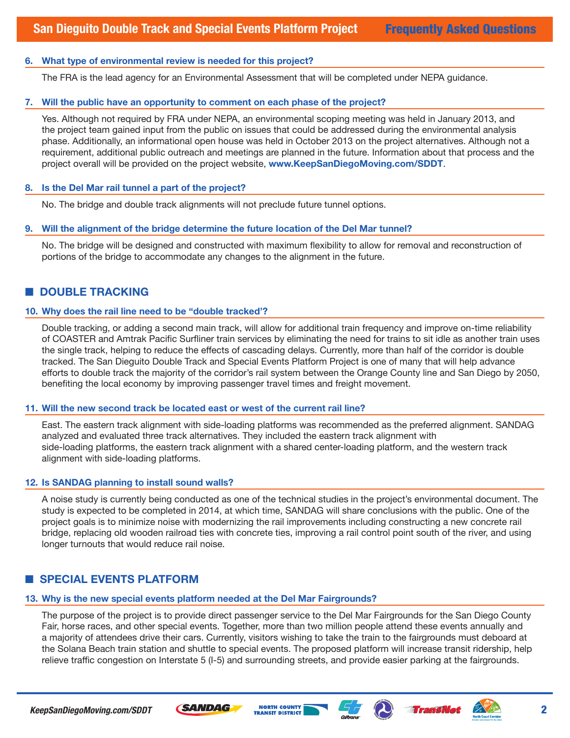#### **6. What type of environmental review is needed for this project?**

The FRA is the lead agency for an Environmental Assessment that will be completed under NEPA guidance.

#### **7. Will the public have an opportunity to comment on each phase of the project?**

Yes. Although not required by FRA under NEPA, an environmental scoping meeting was held in January 2013, and the project team gained input from the public on issues that could be addressed during the environmental analysis phase. Additionally, an informational open house was held in October 2013 on the project alternatives. Although not a requirement, additional public outreach and meetings are planned in the future. Information about that process and the project overall will be provided on the project website, **www.KeepSanDiegoMoving.com/SDDT**.

#### **8. Is the Del Mar rail tunnel a part of the project?**

No. The bridge and double track alignments will not preclude future tunnel options.

#### **9. Will the alignment of the bridge determine the future location of the Del Mar tunnel?**

No. The bridge will be designed and constructed with maximum flexibility to allow for removal and reconstruction of portions of the bridge to accommodate any changes to the alignment in the future.

## ■ **DOUBLE TRACKING**

#### **10. Why does the rail line need to be "double tracked'?**

Double tracking, or adding a second main track, will allow for additional train frequency and improve on-time reliability of COASTER and Amtrak Pacific Surfliner train services by eliminating the need for trains to sit idle as another train uses the single track, helping to reduce the effects of cascading delays. Currently, more than half of the corridor is double tracked. The San Dieguito Double Track and Special Events Platform Project is one of many that will help advance efforts to double track the majority of the corridor's rail system between the Orange County line and San Diego by 2050, benefiting the local economy by improving passenger travel times and freight movement.

#### **11. Will the new second track be located east or west of the current rail line?**

East. The eastern track alignment with side-loading platforms was recommended as the preferred alignment. SANDAG analyzed and evaluated three track alternatives. They included the eastern track alignment with side-loading platforms, the eastern track alignment with a shared center-loading platform, and the western track alignment with side-loading platforms.

#### **12. Is SANDAG planning to install sound walls?**

A noise study is currently being conducted as one of the technical studies in the project's environmental document. The study is expected to be completed in 2014, at which time, SANDAG will share conclusions with the public. One of the project goals is to minimize noise with modernizing the rail improvements including constructing a new concrete rail bridge, replacing old wooden railroad ties with concrete ties, improving a rail control point south of the river, and using longer turnouts that would reduce rail noise.

## $\blacksquare$  **SPECIAL EVENTS PLATFORM**

## **13. Why is the new special events platform needed at the Del Mar Fairgrounds?**

The purpose of the project is to provide direct passenger service to the Del Mar Fairgrounds for the San Diego County Fair, horse races, and other special events. Together, more than two million people attend these events annually and a majority of attendees drive their cars. Currently, visitors wishing to take the train to the fairgrounds must deboard at the Solana Beach train station and shuttle to special events. The proposed platform will increase transit ridership, help relieve traffic congestion on Interstate 5 (I-5) and surrounding streets, and provide easier parking at the fairgrounds.







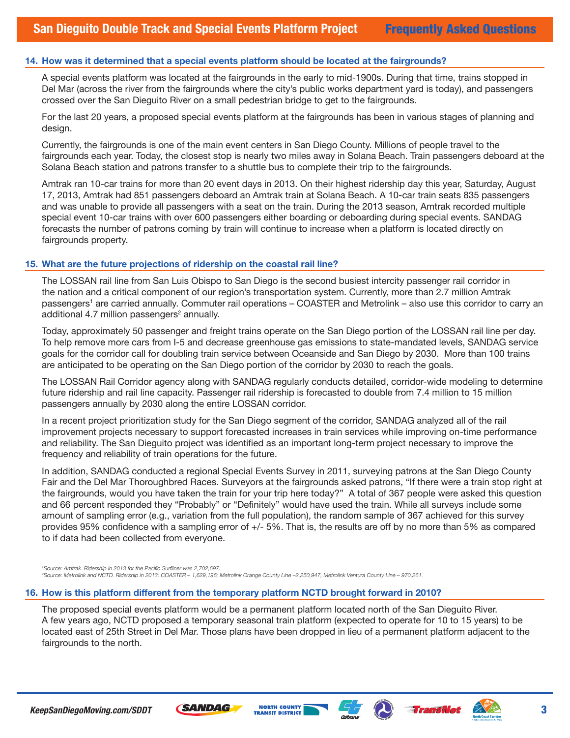#### **14. How was it determined that a special events platform should be located at the fairgrounds?**

A special events platform was located at the fairgrounds in the early to mid-1900s. During that time, trains stopped in Del Mar (across the river from the fairgrounds where the city's public works department yard is today), and passengers crossed over the San Dieguito River on a small pedestrian bridge to get to the fairgrounds.

For the last 20 years, a proposed special events platform at the fairgrounds has been in various stages of planning and design.

Currently, the fairgrounds is one of the main event centers in San Diego County. Millions of people travel to the fairgrounds each year. Today, the closest stop is nearly two miles away in Solana Beach. Train passengers deboard at the Solana Beach station and patrons transfer to a shuttle bus to complete their trip to the fairgrounds.

Amtrak ran 10-car trains for more than 20 event days in 2013. On their highest ridership day this year, Saturday, August 17, 2013, Amtrak had 851 passengers deboard an Amtrak train at Solana Beach. A 10-car train seats 835 passengers and was unable to provide all passengers with a seat on the train. During the 2013 season, Amtrak recorded multiple special event 10-car trains with over 600 passengers either boarding or deboarding during special events. SANDAG forecasts the number of patrons coming by train will continue to increase when a platform is located directly on fairgrounds property.

#### **15. What are the future projections of ridership on the coastal rail line?**

The LOSSAN rail line from San Luis Obispo to San Diego is the second busiest intercity passenger rail corridor in the nation and a critical component of our region's transportation system. Currently, more than 2.7 million Amtrak passengers<sup>1</sup> are carried annually. Commuter rail operations – COASTER and Metrolink – also use this corridor to carry an additional 4.7 million passengers<sup>2</sup> annually.

Today, approximately 50 passenger and freight trains operate on the San Diego portion of the LOSSAN rail line per day. To help remove more cars from I-5 and decrease greenhouse gas emissions to state-mandated levels, SANDAG service goals for the corridor call for doubling train service between Oceanside and San Diego by 2030. More than 100 trains are anticipated to be operating on the San Diego portion of the corridor by 2030 to reach the goals.

The LOSSAN Rail Corridor agency along with SANDAG regularly conducts detailed, corridor-wide modeling to determine future ridership and rail line capacity. Passenger rail ridership is forecasted to double from 7.4 million to 15 million passengers annually by 2030 along the entire LOSSAN corridor.

In a recent project prioritization study for the San Diego segment of the corridor, SANDAG analyzed all of the rail improvement projects necessary to support forecasted increases in train services while improving on-time performance and reliability. The San Dieguito project was identified as an important long-term project necessary to improve the frequency and reliability of train operations for the future.

In addition, SANDAG conducted a regional Special Events Survey in 2011, surveying patrons at the San Diego County Fair and the Del Mar Thoroughbred Races. Surveyors at the fairgrounds asked patrons, "If there were a train stop right at the fairgrounds, would you have taken the train for your trip here today?" A total of 367 people were asked this question and 66 percent responded they "Probably" or "Definitely" would have used the train. While all surveys include some amount of sampling error (e.g., variation from the full population), the random sample of 367 achieved for this survey provides 95% confidence with a sampling error of +/- 5%. That is, the results are off by no more than 5% as compared to if data had been collected from everyone.

*1 Source: Amtrak. Ridership in 2013 for the Pacific Surfliner was 2,702,697. 2 Source: Metrolink and NCTD. Ridership in 2013: COASTER – 1,629,196; Metrolink Orange County Line –2,250,947, Metrolink Ventura County Line – 970,261.*

#### **16. How is this platform different from the temporary platform NCTD brought forward in 2010?**

The proposed special events platform would be a permanent platform located north of the San Dieguito River. A few years ago, NCTD proposed a temporary seasonal train platform (expected to operate for 10 to 15 years) to be located east of 25th Street in Del Mar. Those plans have been dropped in lieu of a permanent platform adjacent to the fairgrounds to the north.







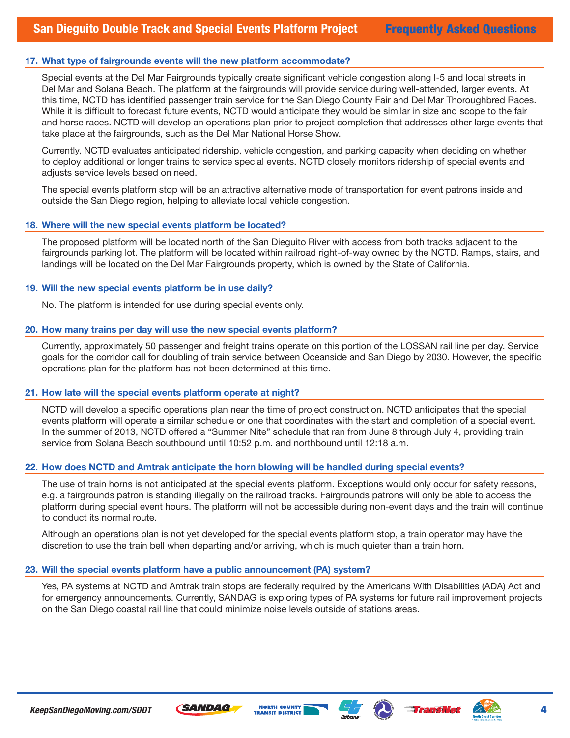#### **17. What type of fairgrounds events will the new platform accommodate?**

Special events at the Del Mar Fairgrounds typically create significant vehicle congestion along I-5 and local streets in Del Mar and Solana Beach. The platform at the fairgrounds will provide service during well-attended, larger events. At this time, NCTD has identified passenger train service for the San Diego County Fair and Del Mar Thoroughbred Races. While it is difficult to forecast future events, NCTD would anticipate they would be similar in size and scope to the fair and horse races. NCTD will develop an operations plan prior to project completion that addresses other large events that take place at the fairgrounds, such as the Del Mar National Horse Show.

Currently, NCTD evaluates anticipated ridership, vehicle congestion, and parking capacity when deciding on whether to deploy additional or longer trains to service special events. NCTD closely monitors ridership of special events and adjusts service levels based on need.

The special events platform stop will be an attractive alternative mode of transportation for event patrons inside and outside the San Diego region, helping to alleviate local vehicle congestion.

#### **18. Where will the new special events platform be located?**

The proposed platform will be located north of the San Dieguito River with access from both tracks adjacent to the fairgrounds parking lot. The platform will be located within railroad right-of-way owned by the NCTD. Ramps, stairs, and landings will be located on the Del Mar Fairgrounds property, which is owned by the State of California.

#### **19. Will the new special events platform be in use daily?**

No. The platform is intended for use during special events only.

#### **20. How many trains per day will use the new special events platform?**

Currently, approximately 50 passenger and freight trains operate on this portion of the LOSSAN rail line per day. Service goals for the corridor call for doubling of train service between Oceanside and San Diego by 2030. However, the specific operations plan for the platform has not been determined at this time.

#### **21. How late will the special events platform operate at night?**

NCTD will develop a specific operations plan near the time of project construction. NCTD anticipates that the special events platform will operate a similar schedule or one that coordinates with the start and completion of a special event. In the summer of 2013, NCTD offered a "Summer Nite" schedule that ran from June 8 through July 4, providing train service from Solana Beach southbound until 10:52 p.m. and northbound until 12:18 a.m.

#### **22. How does NCTD and Amtrak anticipate the horn blowing will be handled during special events?**

The use of train horns is not anticipated at the special events platform. Exceptions would only occur for safety reasons, e.g. a fairgrounds patron is standing illegally on the railroad tracks. Fairgrounds patrons will only be able to access the platform during special event hours. The platform will not be accessible during non-event days and the train will continue to conduct its normal route.

Although an operations plan is not yet developed for the special events platform stop, a train operator may have the discretion to use the train bell when departing and/or arriving, which is much quieter than a train horn.

#### **23. Will the special events platform have a public announcement (PA) system?**

Yes, PA systems at NCTD and Amtrak train stops are federally required by the Americans With Disabilities (ADA) Act and for emergency announcements. Currently, SANDAG is exploring types of PA systems for future rail improvement projects on the San Diego coastal rail line that could minimize noise levels outside of stations areas.







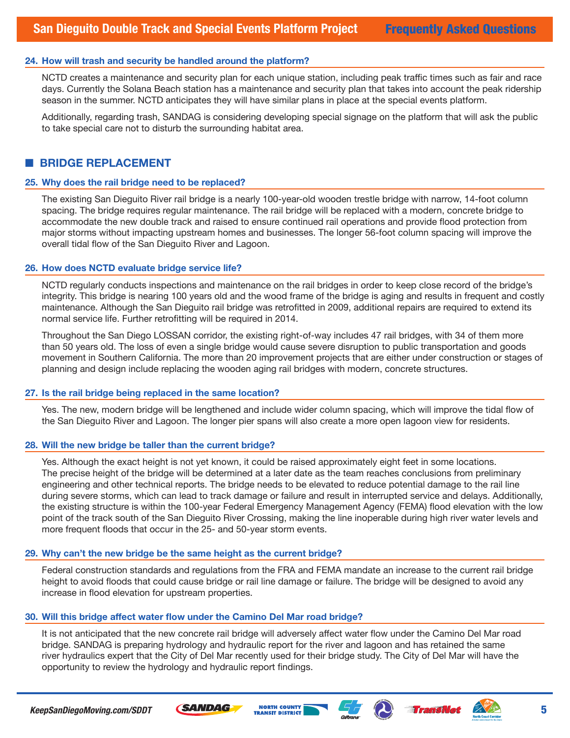#### **24. How will trash and security be handled around the platform?**

NCTD creates a maintenance and security plan for each unique station, including peak traffic times such as fair and race days. Currently the Solana Beach station has a maintenance and security plan that takes into account the peak ridership season in the summer. NCTD anticipates they will have similar plans in place at the special events platform.

Additionally, regarding trash, SANDAG is considering developing special signage on the platform that will ask the public to take special care not to disturb the surrounding habitat area.

## ■ **BRIDGE REPLACEMENT**

#### **25. Why does the rail bridge need to be replaced?**

The existing San Dieguito River rail bridge is a nearly 100-year-old wooden trestle bridge with narrow, 14-foot column spacing. The bridge requires regular maintenance. The rail bridge will be replaced with a modern, concrete bridge to accommodate the new double track and raised to ensure continued rail operations and provide flood protection from major storms without impacting upstream homes and businesses. The longer 56-foot column spacing will improve the overall tidal flow of the San Dieguito River and Lagoon.

#### **26. How does NCTD evaluate bridge service life?**

NCTD regularly conducts inspections and maintenance on the rail bridges in order to keep close record of the bridge's integrity. This bridge is nearing 100 years old and the wood frame of the bridge is aging and results in frequent and costly maintenance. Although the San Dieguito rail bridge was retrofitted in 2009, additional repairs are required to extend its normal service life. Further retrofitting will be required in 2014.

Throughout the San Diego LOSSAN corridor, the existing right-of-way includes 47 rail bridges, with 34 of them more than 50 years old. The loss of even a single bridge would cause severe disruption to public transportation and goods movement in Southern California. The more than 20 improvement projects that are either under construction or stages of planning and design include replacing the wooden aging rail bridges with modern, concrete structures.

#### **27. Is the rail bridge being replaced in the same location?**

Yes. The new, modern bridge will be lengthened and include wider column spacing, which will improve the tidal flow of the San Dieguito River and Lagoon. The longer pier spans will also create a more open lagoon view for residents.

#### **28. Will the new bridge be taller than the current bridge?**

Yes. Although the exact height is not yet known, it could be raised approximately eight feet in some locations. The precise height of the bridge will be determined at a later date as the team reaches conclusions from preliminary engineering and other technical reports. The bridge needs to be elevated to reduce potential damage to the rail line during severe storms, which can lead to track damage or failure and result in interrupted service and delays. Additionally, the existing structure is within the 100-year Federal Emergency Management Agency (FEMA) flood elevation with the low point of the track south of the San Dieguito River Crossing, making the line inoperable during high river water levels and more frequent floods that occur in the 25- and 50-year storm events.

#### **29. Why can't the new bridge be the same height as the current bridge?**

Federal construction standards and regulations from the FRA and FEMA mandate an increase to the current rail bridge height to avoid floods that could cause bridge or rail line damage or failure. The bridge will be designed to avoid any increase in flood elevation for upstream properties.

#### **30. Will this bridge affect water flow under the Camino Del Mar road bridge?**

It is not anticipated that the new concrete rail bridge will adversely affect water flow under the Camino Del Mar road bridge. SANDAG is preparing hydrology and hydraulic report for the river and lagoon and has retained the same river hydraulics expert that the City of Del Mar recently used for their bridge study. The City of Del Mar will have the opportunity to review the hydrology and hydraulic report findings.







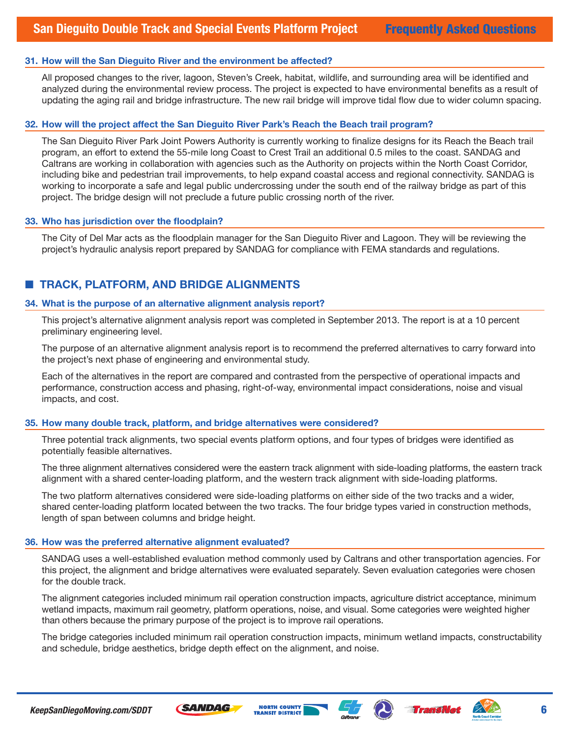#### **31. How will the San Dieguito River and the environment be affected?**

All proposed changes to the river, lagoon, Steven's Creek, habitat, wildlife, and surrounding area will be identified and analyzed during the environmental review process. The project is expected to have environmental benefits as a result of updating the aging rail and bridge infrastructure. The new rail bridge will improve tidal flow due to wider column spacing.

#### **32. How will the project affect the San Dieguito River Park's Reach the Beach trail program?**

The San Dieguito River Park Joint Powers Authority is currently working to finalize designs for its Reach the Beach trail program, an effort to extend the 55-mile long Coast to Crest Trail an additional 0.5 miles to the coast. SANDAG and Caltrans are working in collaboration with agencies such as the Authority on projects within the North Coast Corridor, including bike and pedestrian trail improvements, to help expand coastal access and regional connectivity. SANDAG is working to incorporate a safe and legal public undercrossing under the south end of the railway bridge as part of this project. The bridge design will not preclude a future public crossing north of the river.

#### **33. Who has jurisdiction over the floodplain?**

The City of Del Mar acts as the floodplain manager for the San Dieguito River and Lagoon. They will be reviewing the project's hydraulic analysis report prepared by SANDAG for compliance with FEMA standards and regulations.

## ■ **TRACK, PLATFORM, AND BRIDGE ALIGNMENTS**

#### **34. What is the purpose of an alternative alignment analysis report?**

This project's alternative alignment analysis report was completed in September 2013. The report is at a 10 percent preliminary engineering level.

The purpose of an alternative alignment analysis report is to recommend the preferred alternatives to carry forward into the project's next phase of engineering and environmental study.

Each of the alternatives in the report are compared and contrasted from the perspective of operational impacts and performance, construction access and phasing, right-of-way, environmental impact considerations, noise and visual impacts, and cost.

#### **35. How many double track, platform, and bridge alternatives were considered?**

Three potential track alignments, two special events platform options, and four types of bridges were identified as potentially feasible alternatives.

The three alignment alternatives considered were the eastern track alignment with side-loading platforms, the eastern track alignment with a shared center-loading platform, and the western track alignment with side-loading platforms.

The two platform alternatives considered were side-loading platforms on either side of the two tracks and a wider, shared center-loading platform located between the two tracks. The four bridge types varied in construction methods, length of span between columns and bridge height.

#### **36. How was the preferred alternative alignment evaluated?**

SANDAG uses a well-established evaluation method commonly used by Caltrans and other transportation agencies. For this project, the alignment and bridge alternatives were evaluated separately. Seven evaluation categories were chosen for the double track.

The alignment categories included minimum rail operation construction impacts, agriculture district acceptance, minimum wetland impacts, maximum rail geometry, platform operations, noise, and visual. Some categories were weighted higher than others because the primary purpose of the project is to improve rail operations.

The bridge categories included minimum rail operation construction impacts, minimum wetland impacts, constructability and schedule, bridge aesthetics, bridge depth effect on the alignment, and noise.